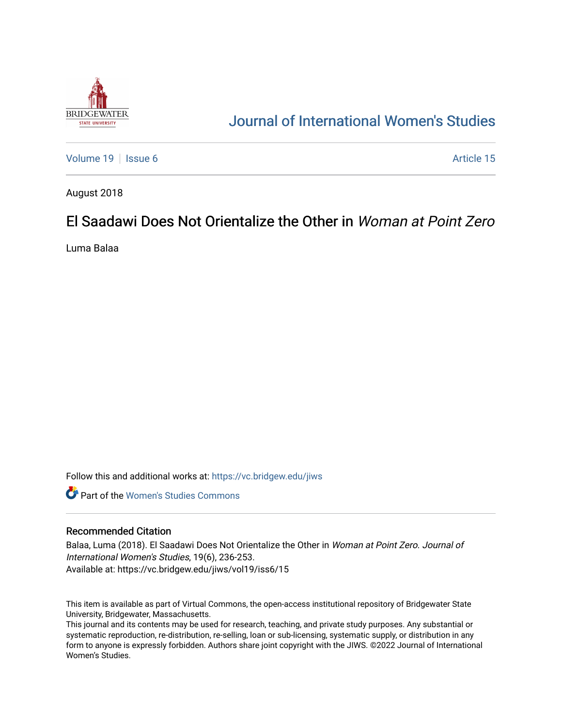

# [Journal of International Women's Studies](https://vc.bridgew.edu/jiws)

[Volume 19](https://vc.bridgew.edu/jiws/vol19) | [Issue 6](https://vc.bridgew.edu/jiws/vol19/iss6) Article 15

August 2018

## El Saadawi Does Not Orientalize the Other in Woman at Point Zero

Luma Balaa

Follow this and additional works at: [https://vc.bridgew.edu/jiws](https://vc.bridgew.edu/jiws?utm_source=vc.bridgew.edu%2Fjiws%2Fvol19%2Fiss6%2F15&utm_medium=PDF&utm_campaign=PDFCoverPages)

**C** Part of the Women's Studies Commons

### Recommended Citation

Balaa, Luma (2018). El Saadawi Does Not Orientalize the Other in Woman at Point Zero. Journal of International Women's Studies, 19(6), 236-253. Available at: https://vc.bridgew.edu/jiws/vol19/iss6/15

This item is available as part of Virtual Commons, the open-access institutional repository of Bridgewater State University, Bridgewater, Massachusetts.

This journal and its contents may be used for research, teaching, and private study purposes. Any substantial or systematic reproduction, re-distribution, re-selling, loan or sub-licensing, systematic supply, or distribution in any form to anyone is expressly forbidden. Authors share joint copyright with the JIWS. ©2022 Journal of International Women's Studies.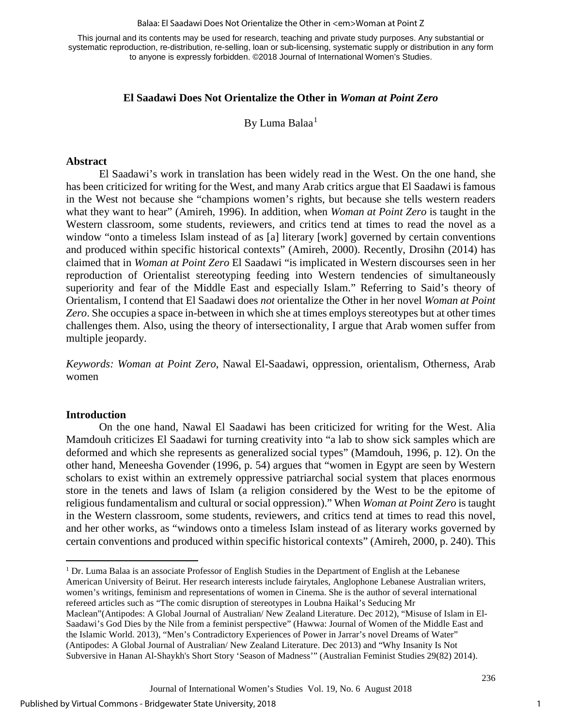#### Balaa: El Saadawi Does Not Orientalize the Other in <em>Woman at Point Z

This journal and its contents may be used for research, teaching and private study purposes. Any substantial or systematic reproduction, re-distribution, re-selling, loan or sub-licensing, systematic supply or distribution in any form to anyone is expressly forbidden. ©2018 Journal of International Women's Studies.

## **El Saadawi Does Not Orientalize the Other in** *Woman at Point Zero*

By Luma Balaa<sup>[1](#page-1-0)</sup>

#### **Abstract**

El Saadawi's work in translation has been widely read in the West. On the one hand, she has been criticized for writing for the West, and many Arab critics argue that El Saadawi is famous in the West not because she "champions women's rights, but because she tells western readers what they want to hear" (Amireh, 1996). In addition, when *Woman at Point Zero* is taught in the Western classroom, some students, reviewers, and critics tend at times to read the novel as a window "onto a timeless Islam instead of as [a] literary [work] governed by certain conventions and produced within specific historical contexts" (Amireh, 2000). Recently, Drosihn (2014) has claimed that in *Woman at Point Zero* El Saadawi "is implicated in Western discourses seen in her reproduction of Orientalist stereotyping feeding into Western tendencies of simultaneously superiority and fear of the Middle East and especially Islam." Referring to Said's theory of Orientalism, I contend that El Saadawi does *not* orientalize the Other in her novel *Woman at Point Zero*. She occupies a space in-between in which she at times employs stereotypes but at other times challenges them. Also, using the theory of intersectionality, I argue that Arab women suffer from multiple jeopardy.

*Keywords: Woman at Point Zero*, Nawal El-Saadawi, oppression, orientalism, Otherness, Arab women

#### **Introduction**

On the one hand, Nawal El Saadawi has been criticized for writing for the West. Alia Mamdouh criticizes El Saadawi for turning creativity into "a lab to show sick samples which are deformed and which she represents as generalized social types" (Mamdouh, 1996, p. 12). On the other hand, Meneesha Govender (1996, p. 54) argues that "women in Egypt are seen by Western scholars to exist within an extremely oppressive patriarchal social system that places enormous store in the tenets and laws of Islam (a religion considered by the West to be the epitome of religious fundamentalism and cultural or social oppression)." When *Woman at Point Zero* is taught in the Western classroom, some students, reviewers, and critics tend at times to read this novel, and her other works, as "windows onto a timeless Islam instead of as literary works governed by certain conventions and produced within specific historical contexts" (Amireh, 2000, p. 240). This

<span id="page-1-0"></span> $\overline{a}$ <sup>1</sup> Dr. Luma Balaa is an associate Professor of English Studies in the Department of English at the Lebanese American University of Beirut. Her research interests include fairytales, Anglophone Lebanese Australian writers, women's writings, feminism and representations of women in Cinema. She is the author of several international refereed articles such as "The comic disruption of stereotypes in Loubna Haikal's Seducing Mr Maclean"(Antipodes: A Global Journal of Australian/ New Zealand Literature. Dec 2012), "Misuse of Islam in El-Saadawi's God Dies by the Nile from a feminist perspective" (Hawwa: Journal of Women of the Middle East and the Islamic World. 2013), "Men's Contradictory Experiences of Power in Jarrar's novel Dreams of Water" (Antipodes: A Global Journal of Australian/ New Zealand Literature. Dec 2013) and "Why Insanity Is Not Subversive in Hanan Al-Shaykh's Short Story 'Season of Madness'" (Australian Feminist Studies 29(82) 2014).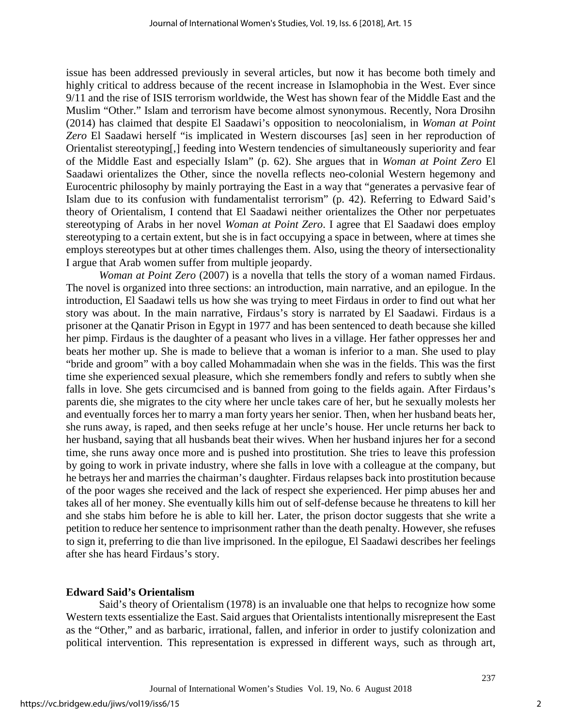issue has been addressed previously in several articles, but now it has become both timely and highly critical to address because of the recent increase in Islamophobia in the West. Ever since 9/11 and the rise of ISIS terrorism worldwide, the West has shown fear of the Middle East and the Muslim "Other." Islam and terrorism have become almost synonymous. Recently, Nora Drosihn (2014) has claimed that despite El Saadawi's opposition to neocolonialism, in *Woman at Point Zero* El Saadawi herself "is implicated in Western discourses [as] seen in her reproduction of Orientalist stereotyping[,] feeding into Western tendencies of simultaneously superiority and fear of the Middle East and especially Islam" (p. 62). She argues that in *Woman at Point Zero* El Saadawi orientalizes the Other, since the novella reflects neo-colonial Western hegemony and Eurocentric philosophy by mainly portraying the East in a way that "generates a pervasive fear of Islam due to its confusion with fundamentalist terrorism" (p. 42). Referring to Edward Said's theory of Orientalism, I contend that El Saadawi neither orientalizes the Other nor perpetuates stereotyping of Arabs in her novel *Woman at Point Zero*. I agree that El Saadawi does employ stereotyping to a certain extent, but she is in fact occupying a space in between, where at times she employs stereotypes but at other times challenges them. Also, using the theory of intersectionality I argue that Arab women suffer from multiple jeopardy.

*Woman at Point Zero* (2007) is a novella that tells the story of a woman named Firdaus. The novel is organized into three sections: an introduction, main narrative, and an epilogue. In the introduction, El Saadawi tells us how she was trying to meet Firdaus in order to find out what her story was about. In the main narrative, Firdaus's story is narrated by El Saadawi. Firdaus is a prisoner at the Qanatir Prison in Egypt in 1977 and has been sentenced to death because she killed her pimp. Firdaus is the daughter of a peasant who lives in a village. Her father oppresses her and beats her mother up. She is made to believe that a woman is inferior to a man. She used to play "bride and groom" with a boy called Mohammadain when she was in the fields. This was the first time she experienced sexual pleasure, which she remembers fondly and refers to subtly when she falls in love. She gets circumcised and is banned from going to the fields again. After Firdaus's parents die, she migrates to the city where her uncle takes care of her, but he sexually molests her and eventually forces her to marry a man forty years her senior. Then, when her husband beats her, she runs away, is raped, and then seeks refuge at her uncle's house. Her uncle returns her back to her husband, saying that all husbands beat their wives. When her husband injures her for a second time, she runs away once more and is pushed into prostitution. She tries to leave this profession by going to work in private industry, where she falls in love with a colleague at the company, but he betrays her and marries the chairman's daughter. Firdaus relapses back into prostitution because of the poor wages she received and the lack of respect she experienced. Her pimp abuses her and takes all of her money. She eventually kills him out of self-defense because he threatens to kill her and she stabs him before he is able to kill her. Later, the prison doctor suggests that she write a petition to reduce her sentence to imprisonment rather than the death penalty. However, she refuses to sign it, preferring to die than live imprisoned. In the epilogue, El Saadawi describes her feelings after she has heard Firdaus's story.

## **Edward Said's Orientalism**

Said's theory of Orientalism (1978) is an invaluable one that helps to recognize how some Western texts essentialize the East. Said argues that Orientalists intentionally misrepresent the East as the "Other," and as barbaric, irrational, fallen, and inferior in order to justify colonization and political intervention. This representation is expressed in different ways, such as through art,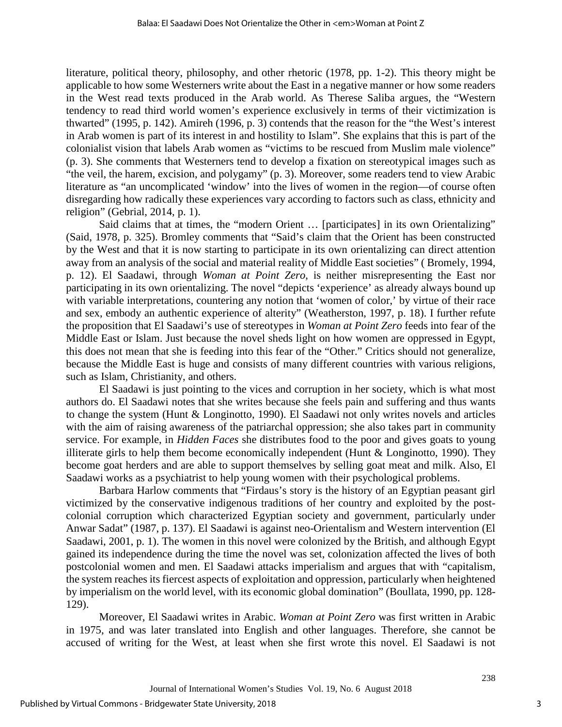literature, political theory, philosophy, and other rhetoric (1978, pp. 1-2). This theory might be applicable to how some Westerners write about the East in a negative manner or how some readers in the West read texts produced in the Arab world. As Therese Saliba argues, the "Western tendency to read third world women's experience exclusively in terms of their victimization is thwarted" (1995, p. 142). Amireh (1996, p. 3) contends that the reason for the "the West's interest in Arab women is part of its interest in and hostility to Islam". She explains that this is part of the colonialist vision that labels Arab women as "victims to be rescued from Muslim male violence" (p. 3). She comments that Westerners tend to develop a fixation on stereotypical images such as "the veil, the harem, excision, and polygamy" (p. 3). Moreover, some readers tend to view Arabic literature as "an uncomplicated 'window' into the lives of women in the region—of course often disregarding how radically these experiences vary according to factors such as class, ethnicity and religion" (Gebrial, 2014, p. 1).

Said claims that at times, the "modern Orient … [participates] in its own Orientalizing" (Said, 1978, p. 325). Bromley comments that "Said's claim that the Orient has been constructed by the West and that it is now starting to participate in its own orientalizing can direct attention away from an analysis of the social and material reality of Middle East societies" ( Bromely, 1994, p. 12). El Saadawi, through *Woman at Point Zero*, is neither misrepresenting the East nor participating in its own orientalizing. The novel "depicts 'experience' as already always bound up with variable interpretations, countering any notion that 'women of color,' by virtue of their race and sex, embody an authentic experience of alterity" (Weatherston, 1997, p. 18). I further refute the proposition that El Saadawi's use of stereotypes in *Woman at Point Zero* feeds into fear of the Middle East or Islam. Just because the novel sheds light on how women are oppressed in Egypt, this does not mean that she is feeding into this fear of the "Other." Critics should not generalize, because the Middle East is huge and consists of many different countries with various religions, such as Islam, Christianity, and others.

El Saadawi is just pointing to the vices and corruption in her society, which is what most authors do. El Saadawi notes that she writes because she feels pain and suffering and thus wants to change the system (Hunt & Longinotto, 1990). El Saadawi not only writes novels and articles with the aim of raising awareness of the patriarchal oppression; she also takes part in community service. For example, in *Hidden Faces* she distributes food to the poor and gives goats to young illiterate girls to help them become economically independent (Hunt & Longinotto, 1990). They become goat herders and are able to support themselves by selling goat meat and milk. Also, El Saadawi works as a psychiatrist to help young women with their psychological problems.

Barbara Harlow comments that "Firdaus's story is the history of an Egyptian peasant girl victimized by the conservative indigenous traditions of her country and exploited by the postcolonial corruption which characterized Egyptian society and government, particularly under Anwar Sadat" (1987, p. 137). El Saadawi is against neo-Orientalism and Western intervention (El Saadawi, 2001, p. 1). The women in this novel were colonized by the British, and although Egypt gained its independence during the time the novel was set, colonization affected the lives of both postcolonial women and men. El Saadawi attacks imperialism and argues that with "capitalism, the system reaches its fiercest aspects of exploitation and oppression, particularly when heightened by imperialism on the world level, with its economic global domination" (Boullata, 1990, pp. 128- 129).

Moreover, El Saadawi writes in Arabic. *Woman at Point Zero* was first written in Arabic in 1975, and was later translated into English and other languages. Therefore, she cannot be accused of writing for the West, at least when she first wrote this novel. El Saadawi is not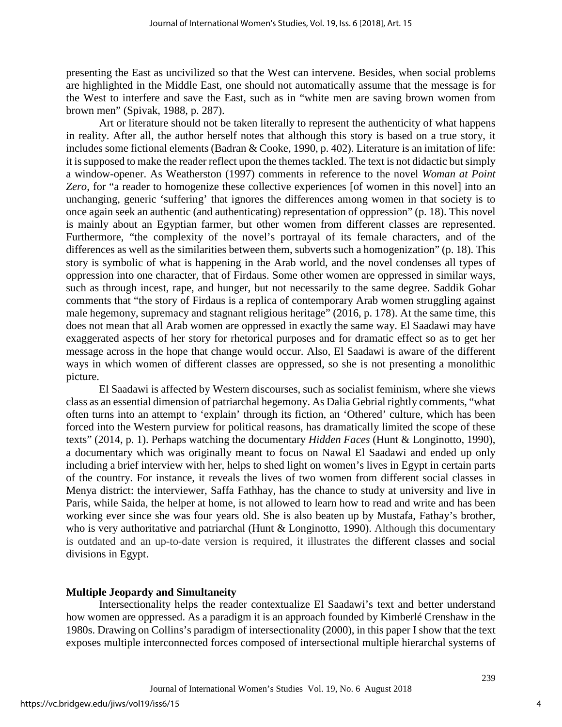presenting the East as uncivilized so that the West can intervene. Besides, when social problems are highlighted in the Middle East, one should not automatically assume that the message is for the West to interfere and save the East, such as in "white men are saving brown women from brown men" (Spivak, 1988, p. 287).

Art or literature should not be taken literally to represent the authenticity of what happens in reality. After all, the author herself notes that although this story is based on a true story, it includes some fictional elements (Badran & Cooke, 1990, p. 402). Literature is an imitation of life: it is supposed to make the reader reflect upon the themes tackled. The text is not didactic but simply a window-opener. As Weatherston (1997) comments in reference to the novel *Woman at Point Zero*, for "a reader to homogenize these collective experiences [of women in this novel] into an unchanging, generic 'suffering' that ignores the differences among women in that society is to once again seek an authentic (and authenticating) representation of oppression" (p. 18). This novel is mainly about an Egyptian farmer, but other women from different classes are represented. Furthermore, "the complexity of the novel's portrayal of its female characters, and of the differences as well as the similarities between them, subverts such a homogenization" (p. 18). This story is symbolic of what is happening in the Arab world, and the novel condenses all types of oppression into one character, that of Firdaus. Some other women are oppressed in similar ways, such as through incest, rape, and hunger, but not necessarily to the same degree. Saddik Gohar comments that "the story of Firdaus is a replica of contemporary Arab women struggling against male hegemony, supremacy and stagnant religious heritage" (2016, p. 178). At the same time, this does not mean that all Arab women are oppressed in exactly the same way. El Saadawi may have exaggerated aspects of her story for rhetorical purposes and for dramatic effect so as to get her message across in the hope that change would occur. Also, El Saadawi is aware of the different ways in which women of different classes are oppressed, so she is not presenting a monolithic picture.

El Saadawi is affected by Western discourses, such as socialist feminism, where she views class as an essential dimension of patriarchal hegemony. As Dalia Gebrial rightly comments, "what often turns into an attempt to 'explain' through its fiction, an 'Othered' culture, which has been forced into the Western purview for political reasons, has dramatically limited the scope of these texts" (2014, p. 1). Perhaps watching the documentary *Hidden Faces* (Hunt & Longinotto, 1990), a documentary which was originally meant to focus on Nawal El Saadawi and ended up only including a brief interview with her, helps to shed light on women's lives in Egypt in certain parts of the country. For instance, it reveals the lives of two women from different social classes in Menya district: the interviewer, Saffa Fathhay, has the chance to study at university and live in Paris, while Saida, the helper at home, is not allowed to learn how to read and write and has been working ever since she was four years old. She is also beaten up by Mustafa, Fathay's brother, who is very authoritative and patriarchal (Hunt & Longinotto, 1990). Although this documentary is outdated and an up-to-date version is required, it illustrates the different classes and social divisions in Egypt.

## **Multiple Jeopardy and Simultaneity**

Intersectionality helps the reader contextualize El Saadawi's text and better understand how women are oppressed. As a paradigm it is an approach founded by Kimberlé Crenshaw in the 1980s. Drawing on Collins's paradigm of intersectionality (2000), in this paper I show that the text exposes multiple interconnected forces composed of intersectional multiple hierarchal systems of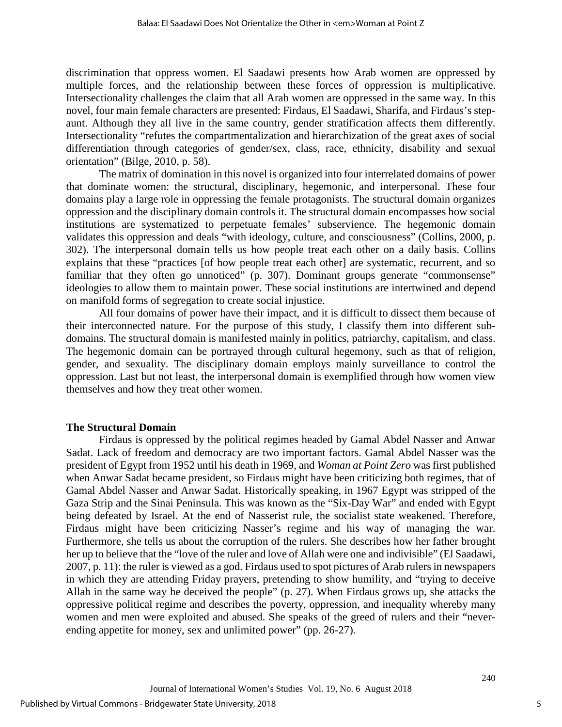discrimination that oppress women. El Saadawi presents how Arab women are oppressed by multiple forces, and the relationship between these forces of oppression is multiplicative. Intersectionality challenges the claim that all Arab women are oppressed in the same way. In this novel, four main female characters are presented: Firdaus, El Saadawi, Sharifa, and Firdaus's stepaunt. Although they all live in the same country, gender stratification affects them differently. Intersectionality "refutes the compartmentalization and hierarchization of the great axes of social differentiation through categories of gender/sex, class, race, ethnicity, disability and sexual orientation" (Bilge, 2010, p. 58).

The matrix of domination in this novel is organized into four interrelated domains of power that dominate women: the structural, disciplinary, hegemonic, and interpersonal. These four domains play a large role in oppressing the female protagonists. The structural domain organizes oppression and the disciplinary domain controls it. The structural domain encompasses how social institutions are systematized to perpetuate females' subservience. The hegemonic domain validates this oppression and deals "with ideology, culture, and consciousness" (Collins, 2000, p. 302). The interpersonal domain tells us how people treat each other on a daily basis. Collins explains that these "practices [of how people treat each other] are systematic, recurrent, and so familiar that they often go unnoticed" (p. 307). Dominant groups generate "commonsense" ideologies to allow them to maintain power. These social institutions are intertwined and depend on manifold forms of segregation to create social injustice.

All four domains of power have their impact, and it is difficult to dissect them because of their interconnected nature. For the purpose of this study, I classify them into different subdomains. The structural domain is manifested mainly in politics, patriarchy, capitalism, and class. The hegemonic domain can be portrayed through cultural hegemony, such as that of religion, gender, and sexuality. The disciplinary domain employs mainly surveillance to control the oppression. Last but not least, the interpersonal domain is exemplified through how women view themselves and how they treat other women.

### **The Structural Domain**

Firdaus is oppressed by the political regimes headed by Gamal Abdel Nasser and Anwar Sadat. Lack of freedom and democracy are two important factors. Gamal Abdel Nasser was the president of Egypt from 1952 until his death in 1969, and *Woman at Point Zero* was first published when Anwar Sadat became president, so Firdaus might have been criticizing both regimes, that of Gamal Abdel Nasser and Anwar Sadat. Historically speaking, in 1967 Egypt was stripped of the Gaza Strip and the Sinai Peninsula. This was known as the "Six-Day War" and ended with Egypt being defeated by Israel. At the end of Nasserist rule, the socialist state weakened. Therefore, Firdaus might have been criticizing Nasser's regime and his way of managing the war. Furthermore, she tells us about the corruption of the rulers. She describes how her father brought her up to believe that the "love of the ruler and love of Allah were one and indivisible" (El Saadawi, 2007, p. 11): the ruler is viewed as a god. Firdaus used to spot pictures of Arab rulers in newspapers in which they are attending Friday prayers, pretending to show humility, and "trying to deceive Allah in the same way he deceived the people" (p. 27). When Firdaus grows up, she attacks the oppressive political regime and describes the poverty, oppression, and inequality whereby many women and men were exploited and abused. She speaks of the greed of rulers and their "neverending appetite for money, sex and unlimited power" (pp. 26-27).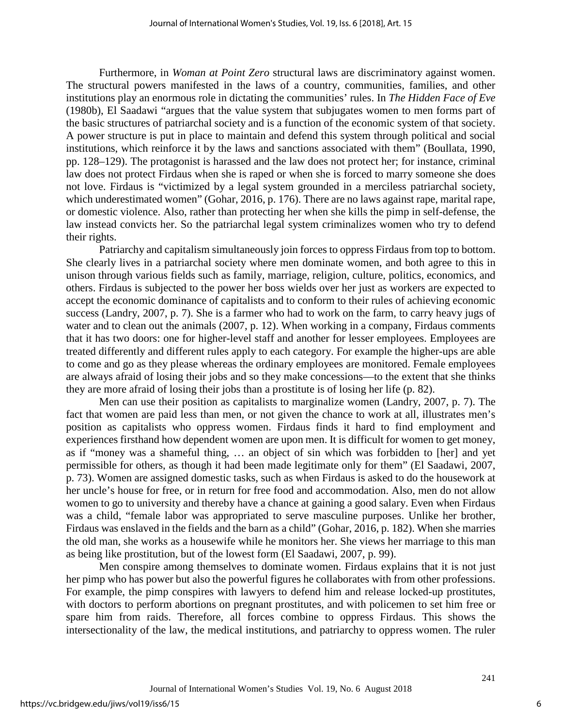Furthermore, in *Woman at Point Zero* structural laws are discriminatory against women. The structural powers manifested in the laws of a country, communities, families, and other institutions play an enormous role in dictating the communities' rules. In *The Hidden Face of Eve* (1980b), El Saadawi "argues that the value system that subjugates women to men forms part of the basic structures of patriarchal society and is a function of the economic system of that society. A power structure is put in place to maintain and defend this system through political and social institutions, which reinforce it by the laws and sanctions associated with them" (Boullata, 1990, pp. 128–129). The protagonist is harassed and the law does not protect her; for instance, criminal law does not protect Firdaus when she is raped or when she is forced to marry someone she does not love. Firdaus is "victimized by a legal system grounded in a merciless patriarchal society, which underestimated women" (Gohar, 2016, p. 176). There are no laws against rape, marital rape, or domestic violence. Also, rather than protecting her when she kills the pimp in self-defense, the law instead convicts her. So the patriarchal legal system criminalizes women who try to defend their rights.

Patriarchy and capitalism simultaneously join forces to oppress Firdaus from top to bottom. She clearly lives in a patriarchal society where men dominate women, and both agree to this in unison through various fields such as family, marriage, religion, culture, politics, economics, and others. Firdaus is subjected to the power her boss wields over her just as workers are expected to accept the economic dominance of capitalists and to conform to their rules of achieving economic success (Landry, 2007, p. 7). She is a farmer who had to work on the farm, to carry heavy jugs of water and to clean out the animals (2007, p. 12). When working in a company, Firdaus comments that it has two doors: one for higher-level staff and another for lesser employees. Employees are treated differently and different rules apply to each category. For example the higher-ups are able to come and go as they please whereas the ordinary employees are monitored. Female employees are always afraid of losing their jobs and so they make concessions—to the extent that she thinks they are more afraid of losing their jobs than a prostitute is of losing her life (p. 82).

Men can use their position as capitalists to marginalize women (Landry, 2007, p. 7). The fact that women are paid less than men, or not given the chance to work at all, illustrates men's position as capitalists who oppress women. Firdaus finds it hard to find employment and experiences firsthand how dependent women are upon men. It is difficult for women to get money, as if "money was a shameful thing, … an object of sin which was forbidden to [her] and yet permissible for others, as though it had been made legitimate only for them" (El Saadawi, 2007, p. 73). Women are assigned domestic tasks, such as when Firdaus is asked to do the housework at her uncle's house for free, or in return for free food and accommodation. Also, men do not allow women to go to university and thereby have a chance at gaining a good salary. Even when Firdaus was a child, "female labor was appropriated to serve masculine purposes. Unlike her brother, Firdaus was enslaved in the fields and the barn as a child" (Gohar, 2016, p. 182). When she marries the old man, she works as a housewife while he monitors her. She views her marriage to this man as being like prostitution, but of the lowest form (El Saadawi, 2007, p. 99).

Men conspire among themselves to dominate women. Firdaus explains that it is not just her pimp who has power but also the powerful figures he collaborates with from other professions. For example, the pimp conspires with lawyers to defend him and release locked-up prostitutes, with doctors to perform abortions on pregnant prostitutes, and with policemen to set him free or spare him from raids. Therefore, all forces combine to oppress Firdaus. This shows the intersectionality of the law, the medical institutions, and patriarchy to oppress women. The ruler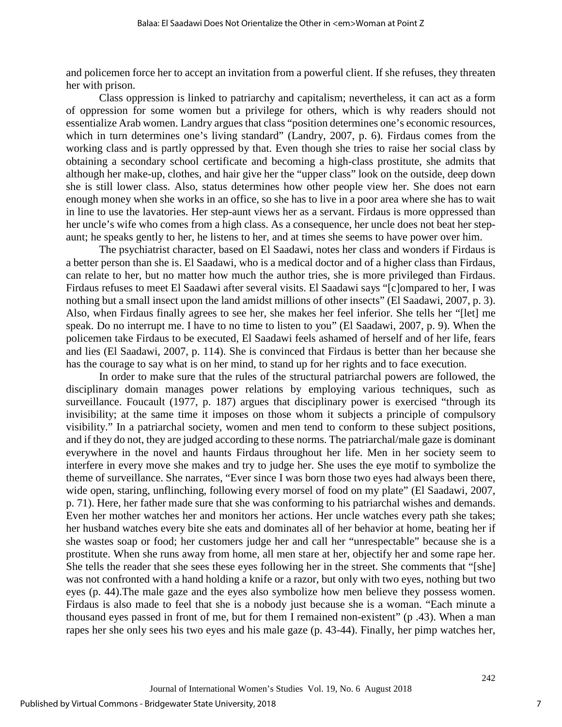and policemen force her to accept an invitation from a powerful client. If she refuses, they threaten her with prison.

Class oppression is linked to patriarchy and capitalism; nevertheless, it can act as a form of oppression for some women but a privilege for others, which is why readers should not essentialize Arab women. Landry argues that class "position determines one's economic resources, which in turn determines one's living standard" (Landry, 2007, p. 6). Firdaus comes from the working class and is partly oppressed by that. Even though she tries to raise her social class by obtaining a secondary school certificate and becoming a high-class prostitute, she admits that although her make-up, clothes, and hair give her the "upper class" look on the outside, deep down she is still lower class. Also, status determines how other people view her. She does not earn enough money when she works in an office, so she has to live in a poor area where she has to wait in line to use the lavatories. Her step-aunt views her as a servant. Firdaus is more oppressed than her uncle's wife who comes from a high class. As a consequence, her uncle does not beat her stepaunt; he speaks gently to her, he listens to her, and at times she seems to have power over him.

The psychiatrist character, based on El Saadawi, notes her class and wonders if Firdaus is a better person than she is. El Saadawi, who is a medical doctor and of a higher class than Firdaus, can relate to her, but no matter how much the author tries, she is more privileged than Firdaus. Firdaus refuses to meet El Saadawi after several visits. El Saadawi says "[c]ompared to her, I was nothing but a small insect upon the land amidst millions of other insects" (El Saadawi, 2007, p. 3). Also, when Firdaus finally agrees to see her, she makes her feel inferior. She tells her "[let] me speak. Do no interrupt me. I have to no time to listen to you" (El Saadawi, 2007, p. 9). When the policemen take Firdaus to be executed, El Saadawi feels ashamed of herself and of her life, fears and lies (El Saadawi, 2007, p. 114). She is convinced that Firdaus is better than her because she has the courage to say what is on her mind, to stand up for her rights and to face execution.

In order to make sure that the rules of the structural patriarchal powers are followed, the disciplinary domain manages power relations by employing various techniques, such as surveillance. Foucault (1977, p. 187) argues that disciplinary power is exercised "through its invisibility; at the same time it imposes on those whom it subjects a principle of compulsory visibility." In a patriarchal society, women and men tend to conform to these subject positions, and if they do not, they are judged according to these norms. The patriarchal/male gaze is dominant everywhere in the novel and haunts Firdaus throughout her life. Men in her society seem to interfere in every move she makes and try to judge her. She uses the eye motif to symbolize the theme of surveillance. She narrates, "Ever since I was born those two eyes had always been there, wide open, staring, unflinching, following every morsel of food on my plate" (El Saadawi, 2007, p. 71). Here, her father made sure that she was conforming to his patriarchal wishes and demands. Even her mother watches her and monitors her actions. Her uncle watches every path she takes; her husband watches every bite she eats and dominates all of her behavior at home, beating her if she wastes soap or food; her customers judge her and call her "unrespectable" because she is a prostitute. When she runs away from home, all men stare at her, objectify her and some rape her. She tells the reader that she sees these eyes following her in the street. She comments that "[she] was not confronted with a hand holding a knife or a razor, but only with two eyes, nothing but two eyes (p. 44).The male gaze and the eyes also symbolize how men believe they possess women. Firdaus is also made to feel that she is a nobody just because she is a woman. "Each minute a thousand eyes passed in front of me, but for them I remained non-existent" (p .43). When a man rapes her she only sees his two eyes and his male gaze (p. 43-44). Finally, her pimp watches her,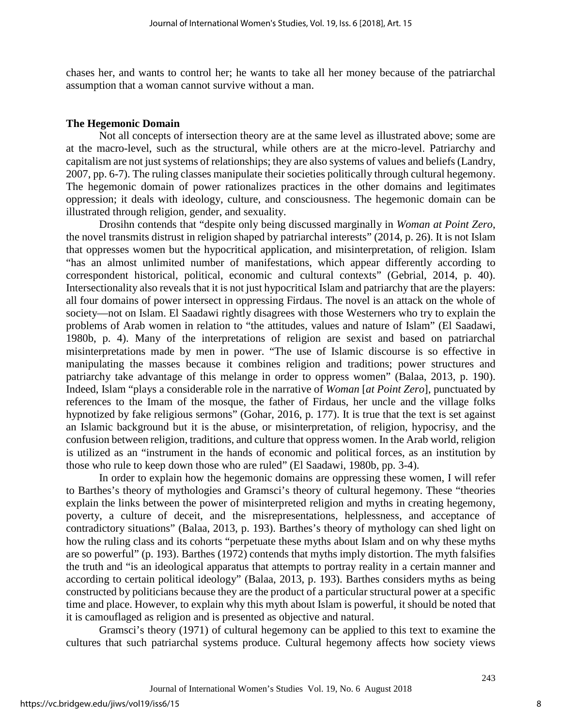chases her, and wants to control her; he wants to take all her money because of the patriarchal assumption that a woman cannot survive without a man.

#### **The Hegemonic Domain**

Not all concepts of intersection theory are at the same level as illustrated above; some are at the macro-level, such as the structural, while others are at the micro-level. Patriarchy and capitalism are not just systems of relationships; they are also systems of values and beliefs (Landry, 2007, pp. 6-7). The ruling classes manipulate their societies politically through cultural hegemony. The hegemonic domain of power rationalizes practices in the other domains and legitimates oppression; it deals with ideology, culture, and consciousness. The hegemonic domain can be illustrated through religion, gender, and sexuality.

Drosihn contends that "despite only being discussed marginally in *Woman at Point Zero*, the novel transmits distrust in religion shaped by patriarchal interests" (2014, p. 26). It is not Islam that oppresses women but the hypocritical application, and misinterpretation, of religion. Islam "has an almost unlimited number of manifestations, which appear differently according to correspondent historical, political, economic and cultural contexts" (Gebrial, 2014, p. 40). Intersectionality also reveals that it is not just hypocritical Islam and patriarchy that are the players: all four domains of power intersect in oppressing Firdaus. The novel is an attack on the whole of society—not on Islam. El Saadawi rightly disagrees with those Westerners who try to explain the problems of Arab women in relation to "the attitudes, values and nature of Islam" (El Saadawi, 1980b, p. 4). Many of the interpretations of religion are sexist and based on patriarchal misinterpretations made by men in power. "The use of Islamic discourse is so effective in manipulating the masses because it combines religion and traditions; power structures and patriarchy take advantage of this melange in order to oppress women" (Balaa, 2013, p. 190). Indeed, Islam "plays a considerable role in the narrative of *Woman* [*at Point Zero*], punctuated by references to the Imam of the mosque, the father of Firdaus, her uncle and the village folks hypnotized by fake religious sermons" (Gohar, 2016, p. 177). It is true that the text is set against an Islamic background but it is the abuse, or misinterpretation, of religion, hypocrisy, and the confusion between religion, traditions, and culture that oppress women. In the Arab world, religion is utilized as an "instrument in the hands of economic and political forces, as an institution by those who rule to keep down those who are ruled" (El Saadawi, 1980b, pp. 3-4).

In order to explain how the hegemonic domains are oppressing these women, I will refer to Barthes's theory of mythologies and Gramsci's theory of cultural hegemony. These "theories explain the links between the power of misinterpreted religion and myths in creating hegemony, poverty, a culture of deceit, and the misrepresentations, helplessness, and acceptance of contradictory situations" (Balaa, 2013, p. 193). Barthes's theory of mythology can shed light on how the ruling class and its cohorts "perpetuate these myths about Islam and on why these myths are so powerful" (p. 193). Barthes (1972) contends that myths imply distortion. The myth falsifies the truth and "is an ideological apparatus that attempts to portray reality in a certain manner and according to certain political ideology" (Balaa, 2013, p. 193). Barthes considers myths as being constructed by politicians because they are the product of a particular structural power at a specific time and place. However, to explain why this myth about Islam is powerful, it should be noted that it is camouflaged as religion and is presented as objective and natural.

Gramsci's theory (1971) of cultural hegemony can be applied to this text to examine the cultures that such patriarchal systems produce. Cultural hegemony affects how society views

8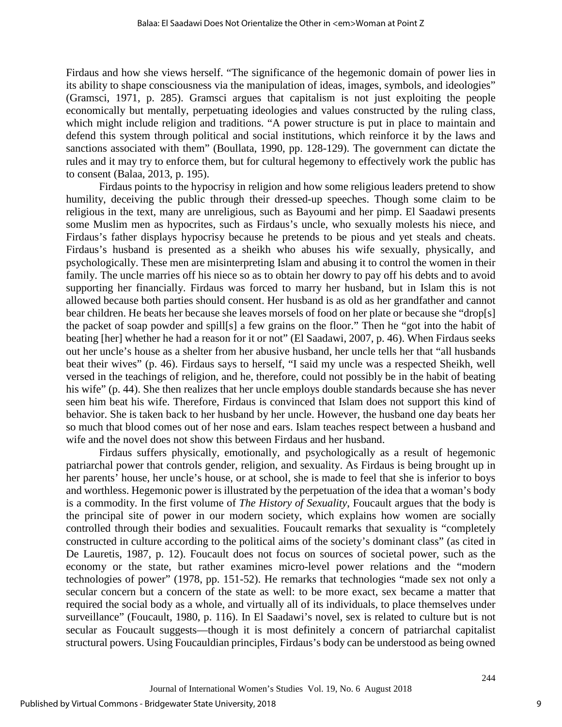Firdaus and how she views herself. "The significance of the hegemonic domain of power lies in its ability to shape consciousness via the manipulation of ideas, images, symbols, and ideologies" (Gramsci, 1971, p. 285). Gramsci argues that capitalism is not just exploiting the people economically but mentally, perpetuating ideologies and values constructed by the ruling class, which might include religion and traditions. "A power structure is put in place to maintain and defend this system through political and social institutions, which reinforce it by the laws and sanctions associated with them" (Boullata, 1990, pp. 128-129). The government can dictate the rules and it may try to enforce them, but for cultural hegemony to effectively work the public has to consent (Balaa, 2013, p. 195).

Firdaus points to the hypocrisy in religion and how some religious leaders pretend to show humility, deceiving the public through their dressed-up speeches. Though some claim to be religious in the text, many are unreligious, such as Bayoumi and her pimp. El Saadawi presents some Muslim men as hypocrites, such as Firdaus's uncle, who sexually molests his niece, and Firdaus's father displays hypocrisy because he pretends to be pious and yet steals and cheats. Firdaus's husband is presented as a sheikh who abuses his wife sexually, physically, and psychologically. These men are misinterpreting Islam and abusing it to control the women in their family. The uncle marries off his niece so as to obtain her dowry to pay off his debts and to avoid supporting her financially. Firdaus was forced to marry her husband, but in Islam this is not allowed because both parties should consent. Her husband is as old as her grandfather and cannot bear children. He beats her because she leaves morsels of food on her plate or because she "drop[s] the packet of soap powder and spill[s] a few grains on the floor." Then he "got into the habit of beating [her] whether he had a reason for it or not" (El Saadawi, 2007, p. 46). When Firdaus seeks out her uncle's house as a shelter from her abusive husband, her uncle tells her that "all husbands beat their wives" (p. 46). Firdaus says to herself, "I said my uncle was a respected Sheikh, well versed in the teachings of religion, and he, therefore, could not possibly be in the habit of beating his wife" (p. 44). She then realizes that her uncle employs double standards because she has never seen him beat his wife. Therefore, Firdaus is convinced that Islam does not support this kind of behavior. She is taken back to her husband by her uncle. However, the husband one day beats her so much that blood comes out of her nose and ears. Islam teaches respect between a husband and wife and the novel does not show this between Firdaus and her husband.

Firdaus suffers physically, emotionally, and psychologically as a result of hegemonic patriarchal power that controls gender, religion, and sexuality. As Firdaus is being brought up in her parents' house, her uncle's house, or at school, she is made to feel that she is inferior to boys and worthless. Hegemonic power is illustrated by the perpetuation of the idea that a woman's body is a commodity. In the first volume of *The History of Sexuality*, Foucault argues that the body is the principal site of power in our modern society, which explains how women are socially controlled through their bodies and sexualities. Foucault remarks that sexuality is "completely constructed in culture according to the political aims of the society's dominant class" (as cited in De Lauretis, 1987, p. 12). Foucault does not focus on sources of societal power, such as the economy or the state, but rather examines micro-level power relations and the "modern technologies of power" (1978, pp. 151-52). He remarks that technologies "made sex not only a secular concern but a concern of the state as well: to be more exact, sex became a matter that required the social body as a whole, and virtually all of its individuals, to place themselves under surveillance" (Foucault, 1980, p. 116). In El Saadawi's novel, sex is related to culture but is not secular as Foucault suggests—though it is most definitely a concern of patriarchal capitalist structural powers. Using Foucauldian principles, Firdaus's body can be understood as being owned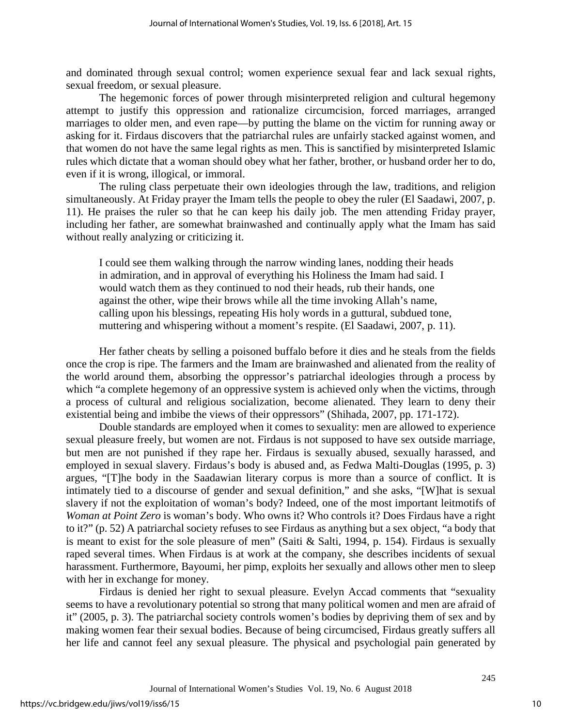and dominated through sexual control; women experience sexual fear and lack sexual rights, sexual freedom, or sexual pleasure.

The hegemonic forces of power through misinterpreted religion and cultural hegemony attempt to justify this oppression and rationalize circumcision, forced marriages, arranged marriages to older men, and even rape—by putting the blame on the victim for running away or asking for it. Firdaus discovers that the patriarchal rules are unfairly stacked against women, and that women do not have the same legal rights as men. This is sanctified by misinterpreted Islamic rules which dictate that a woman should obey what her father, brother, or husband order her to do, even if it is wrong, illogical, or immoral.

The ruling class perpetuate their own ideologies through the law, traditions, and religion simultaneously. At Friday prayer the Imam tells the people to obey the ruler (El Saadawi, 2007, p. 11). He praises the ruler so that he can keep his daily job. The men attending Friday prayer, including her father, are somewhat brainwashed and continually apply what the Imam has said without really analyzing or criticizing it.

I could see them walking through the narrow winding lanes, nodding their heads in admiration, and in approval of everything his Holiness the Imam had said. I would watch them as they continued to nod their heads, rub their hands, one against the other, wipe their brows while all the time invoking Allah's name, calling upon his blessings, repeating His holy words in a guttural, subdued tone, muttering and whispering without a moment's respite. (El Saadawi, 2007, p. 11).

Her father cheats by selling a poisoned buffalo before it dies and he steals from the fields once the crop is ripe. The farmers and the Imam are brainwashed and alienated from the reality of the world around them, absorbing the oppressor's patriarchal ideologies through a process by which "a complete hegemony of an oppressive system is achieved only when the victims, through a process of cultural and religious socialization, become alienated. They learn to deny their existential being and imbibe the views of their oppressors" (Shihada, 2007, pp. 171-172).

Double standards are employed when it comes to sexuality: men are allowed to experience sexual pleasure freely, but women are not. Firdaus is not supposed to have sex outside marriage, but men are not punished if they rape her. Firdaus is sexually abused, sexually harassed, and employed in sexual slavery. Firdaus's body is abused and, as Fedwa Malti-Douglas (1995, p. 3) argues, "[T]he body in the Saadawian literary corpus is more than a source of conflict. It is intimately tied to a discourse of gender and sexual definition," and she asks, "[W]hat is sexual slavery if not the exploitation of woman's body? Indeed, one of the most important leitmotifs of *Woman at Point Zero* is woman's body. Who owns it? Who controls it? Does Firdaus have a right to it?" (p. 52) A patriarchal society refuses to see Firdaus as anything but a sex object, "a body that is meant to exist for the sole pleasure of men" (Saiti & Salti, 1994, p. 154). Firdaus is sexually raped several times. When Firdaus is at work at the company, she describes incidents of sexual harassment. Furthermore, Bayoumi, her pimp, exploits her sexually and allows other men to sleep with her in exchange for money.

Firdaus is denied her right to sexual pleasure. Evelyn Accad comments that "sexuality seems to have a revolutionary potential so strong that many political women and men are afraid of it" (2005, p. 3). The patriarchal society controls women's bodies by depriving them of sex and by making women fear their sexual bodies. Because of being circumcised, Firdaus greatly suffers all her life and cannot feel any sexual pleasure. The physical and psychologial pain generated by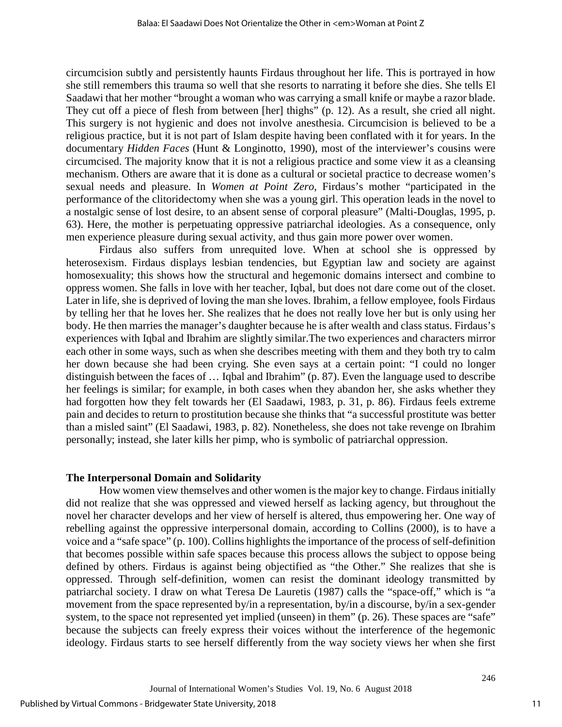circumcision subtly and persistently haunts Firdaus throughout her life. This is portrayed in how she still remembers this trauma so well that she resorts to narrating it before she dies. She tells El Saadawi that her mother "brought a woman who was carrying a small knife or maybe a razor blade. They cut off a piece of flesh from between [her] thighs" (p. 12). As a result, she cried all night. This surgery is not hygienic and does not involve anesthesia. Circumcision is believed to be a religious practice, but it is not part of Islam despite having been conflated with it for years. In the documentary *Hidden Faces* (Hunt & Longinotto, 1990), most of the interviewer's cousins were circumcised. The majority know that it is not a religious practice and some view it as a cleansing mechanism. Others are aware that it is done as a cultural or societal practice to decrease women's sexual needs and pleasure. In *Women at Point Zero*, Firdaus's mother "participated in the performance of the clitoridectomy when she was a young girl. This operation leads in the novel to a nostalgic sense of lost desire, to an absent sense of corporal pleasure" (Malti-Douglas, 1995, p. 63). Here, the mother is perpetuating oppressive patriarchal ideologies. As a consequence, only men experience pleasure during sexual activity, and thus gain more power over women.

Firdaus also suffers from unrequited love. When at school she is oppressed by heterosexism. Firdaus displays lesbian tendencies, but Egyptian law and society are against homosexuality; this shows how the structural and hegemonic domains intersect and combine to oppress women. She falls in love with her teacher, Iqbal, but does not dare come out of the closet. Later in life, she is deprived of loving the man she loves. Ibrahim, a fellow employee, fools Firdaus by telling her that he loves her. She realizes that he does not really love her but is only using her body. He then marries the manager's daughter because he is after wealth and class status. Firdaus's experiences with Iqbal and Ibrahim are slightly similar.The two experiences and characters mirror each other in some ways, such as when she describes meeting with them and they both try to calm her down because she had been crying. She even says at a certain point: "I could no longer distinguish between the faces of … Iqbal and Ibrahim" (p. 87). Even the language used to describe her feelings is similar; for example, in both cases when they abandon her, she asks whether they had forgotten how they felt towards her (El Saadawi, 1983, p. 31, p. 86). Firdaus feels extreme pain and decides to return to prostitution because she thinks that "a successful prostitute was better than a misled saint" (El Saadawi, 1983, p. 82). Nonetheless, she does not take revenge on Ibrahim personally; instead, she later kills her pimp, who is symbolic of patriarchal oppression.

### **The Interpersonal Domain and Solidarity**

How women view themselves and other women is the major key to change. Firdaus initially did not realize that she was oppressed and viewed herself as lacking agency, but throughout the novel her character develops and her view of herself is altered, thus empowering her. One way of rebelling against the oppressive interpersonal domain, according to Collins (2000), is to have a voice and a "safe space" (p. 100). Collins highlights the importance of the process of self-definition that becomes possible within safe spaces because this process allows the subject to oppose being defined by others. Firdaus is against being objectified as "the Other." She realizes that she is oppressed. Through self-definition, women can resist the dominant ideology transmitted by patriarchal society. I draw on what Teresa De Lauretis (1987) calls the "space-off," which is "a movement from the space represented by/in a representation, by/in a discourse, by/in a sex-gender system, to the space not represented yet implied (unseen) in them" (p. 26). These spaces are "safe" because the subjects can freely express their voices without the interference of the hegemonic ideology. Firdaus starts to see herself differently from the way society views her when she first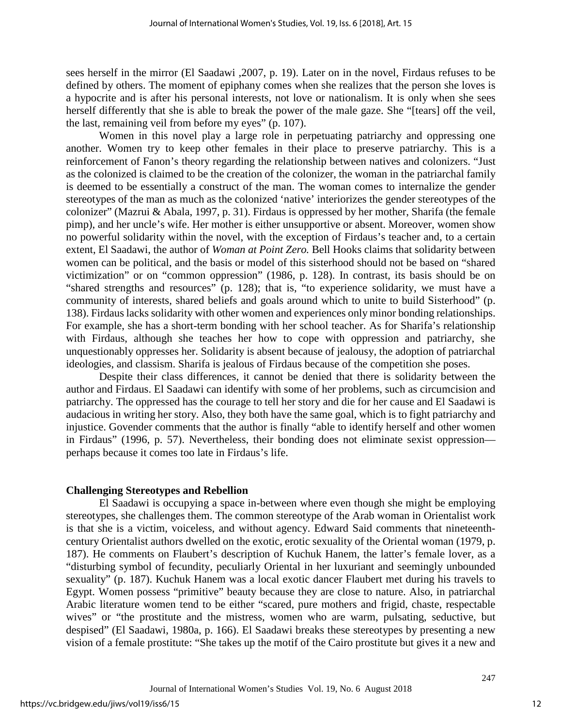sees herself in the mirror (El Saadawi ,2007, p. 19). Later on in the novel, Firdaus refuses to be defined by others. The moment of epiphany comes when she realizes that the person she loves is a hypocrite and is after his personal interests, not love or nationalism. It is only when she sees herself differently that she is able to break the power of the male gaze. She "[tears] off the veil, the last, remaining veil from before my eyes" (p. 107).

Women in this novel play a large role in perpetuating patriarchy and oppressing one another. Women try to keep other females in their place to preserve patriarchy. This is a reinforcement of Fanon's theory regarding the relationship between natives and colonizers. "Just as the colonized is claimed to be the creation of the colonizer, the woman in the patriarchal family is deemed to be essentially a construct of the man. The woman comes to internalize the gender stereotypes of the man as much as the colonized 'native' interiorizes the gender stereotypes of the colonizer" (Mazrui & Abala, 1997, p. 31). Firdaus is oppressed by her mother, Sharifa (the female pimp), and her uncle's wife. Her mother is either unsupportive or absent. Moreover, women show no powerful solidarity within the novel, with the exception of Firdaus's teacher and, to a certain extent, El Saadawi, the author of *Woman at Point Zero.* Bell Hooks claims that solidarity between women can be political, and the basis or model of this sisterhood should not be based on "shared victimization" or on "common oppression" (1986, p. 128). In contrast, its basis should be on "shared strengths and resources" (p. 128); that is, "to experience solidarity, we must have a community of interests, shared beliefs and goals around which to unite to build Sisterhood" (p. 138). Firdaus lacks solidarity with other women and experiences only minor bonding relationships. For example, she has a short-term bonding with her school teacher. As for Sharifa's relationship with Firdaus, although she teaches her how to cope with oppression and patriarchy, she unquestionably oppresses her. Solidarity is absent because of jealousy, the adoption of patriarchal ideologies, and classism. Sharifa is jealous of Firdaus because of the competition she poses.

Despite their class differences, it cannot be denied that there is solidarity between the author and Firdaus. El Saadawi can identify with some of her problems, such as circumcision and patriarchy. The oppressed has the courage to tell her story and die for her cause and El Saadawi is audacious in writing her story. Also, they both have the same goal, which is to fight patriarchy and injustice. Govender comments that the author is finally "able to identify herself and other women in Firdaus" (1996, p. 57). Nevertheless, their bonding does not eliminate sexist oppression perhaps because it comes too late in Firdaus's life.

## **Challenging Stereotypes and Rebellion**

El Saadawi is occupying a space in-between where even though she might be employing stereotypes, she challenges them. The common stereotype of the Arab woman in Orientalist work is that she is a victim, voiceless, and without agency. Edward Said comments that nineteenthcentury Orientalist authors dwelled on the exotic, erotic sexuality of the Oriental woman (1979, p. 187). He comments on Flaubert's description of Kuchuk Hanem, the latter's female lover, as a "disturbing symbol of fecundity, peculiarly Oriental in her luxuriant and seemingly unbounded sexuality" (p. 187). Kuchuk Hanem was a local exotic dancer Flaubert met during his travels to Egypt. Women possess "primitive" beauty because they are close to nature. Also, in patriarchal Arabic literature women tend to be either "scared, pure mothers and frigid, chaste, respectable wives" or "the prostitute and the mistress, women who are warm, pulsating, seductive, but despised" (El Saadawi, 1980a, p. 166). El Saadawi breaks these stereotypes by presenting a new vision of a female prostitute: "She takes up the motif of the Cairo prostitute but gives it a new and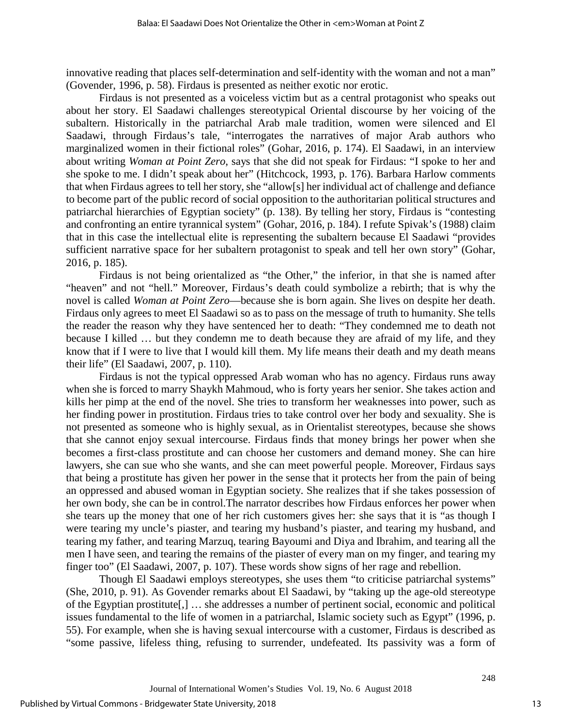innovative reading that places self-determination and self-identity with the woman and not a man" (Govender, 1996, p. 58). Firdaus is presented as neither exotic nor erotic.

Firdaus is not presented as a voiceless victim but as a central protagonist who speaks out about her story. El Saadawi challenges stereotypical Oriental discourse by her voicing of the subaltern. Historically in the patriarchal Arab male tradition, women were silenced and El Saadawi, through Firdaus's tale, "interrogates the narratives of major Arab authors who marginalized women in their fictional roles" (Gohar, 2016, p. 174). El Saadawi, in an interview about writing *Woman at Point Zero*, says that she did not speak for Firdaus: "I spoke to her and she spoke to me. I didn't speak about her" (Hitchcock, 1993, p. 176). Barbara Harlow comments that when Firdaus agrees to tell her story, she "allow[s] her individual act of challenge and defiance to become part of the public record of social opposition to the authoritarian political structures and patriarchal hierarchies of Egyptian society" (p. 138). By telling her story, Firdaus is "contesting and confronting an entire tyrannical system" (Gohar, 2016, p. 184). I refute Spivak's (1988) claim that in this case the intellectual elite is representing the subaltern because El Saadawi "provides sufficient narrative space for her subaltern protagonist to speak and tell her own story" (Gohar, 2016, p. 185).

Firdaus is not being orientalized as "the Other," the inferior, in that she is named after "heaven" and not "hell." Moreover, Firdaus's death could symbolize a rebirth; that is why the novel is called *Woman at Point Zero*—because she is born again. She lives on despite her death. Firdaus only agrees to meet El Saadawi so as to pass on the message of truth to humanity. She tells the reader the reason why they have sentenced her to death: "They condemned me to death not because I killed … but they condemn me to death because they are afraid of my life, and they know that if I were to live that I would kill them. My life means their death and my death means their life" (El Saadawi, 2007, p. 110).

Firdaus is not the typical oppressed Arab woman who has no agency. Firdaus runs away when she is forced to marry Shaykh Mahmoud, who is forty years her senior. She takes action and kills her pimp at the end of the novel. She tries to transform her weaknesses into power, such as her finding power in prostitution. Firdaus tries to take control over her body and sexuality. She is not presented as someone who is highly sexual, as in Orientalist stereotypes, because she shows that she cannot enjoy sexual intercourse. Firdaus finds that money brings her power when she becomes a first-class prostitute and can choose her customers and demand money. She can hire lawyers, she can sue who she wants, and she can meet powerful people. Moreover, Firdaus says that being a prostitute has given her power in the sense that it protects her from the pain of being an oppressed and abused woman in Egyptian society. She realizes that if she takes possession of her own body, she can be in control.The narrator describes how Firdaus enforces her power when she tears up the money that one of her rich customers gives her: she says that it is "as though I were tearing my uncle's piaster, and tearing my husband's piaster, and tearing my husband, and tearing my father, and tearing Marzuq, tearing Bayoumi and Diya and Ibrahim, and tearing all the men I have seen, and tearing the remains of the piaster of every man on my finger, and tearing my finger too" (El Saadawi, 2007, p. 107). These words show signs of her rage and rebellion.

Though El Saadawi employs stereotypes, she uses them "to criticise patriarchal systems" (She, 2010, p. 91). As Govender remarks about El Saadawi, by "taking up the age-old stereotype of the Egyptian prostitute[,] … she addresses a number of pertinent social, economic and political issues fundamental to the life of women in a patriarchal, Islamic society such as Egypt" (1996, p. 55). For example, when she is having sexual intercourse with a customer, Firdaus is described as "some passive, lifeless thing, refusing to surrender, undefeated. Its passivity was a form of

13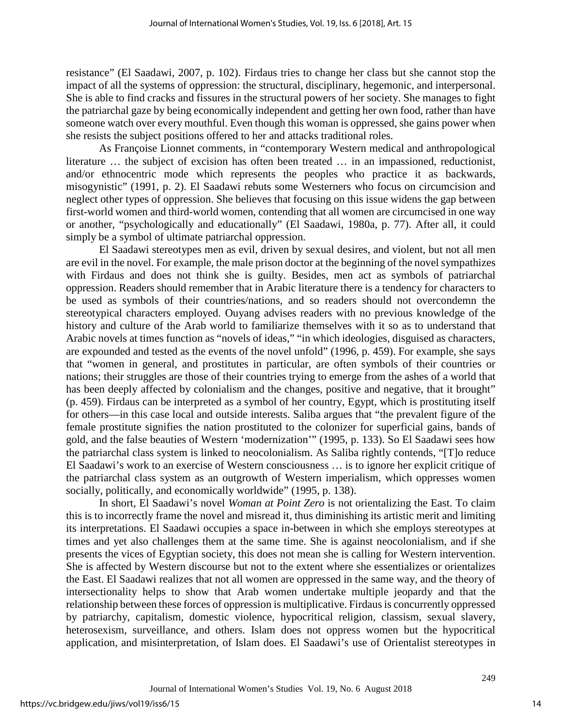resistance" (El Saadawi, 2007, p. 102). Firdaus tries to change her class but she cannot stop the impact of all the systems of oppression: the structural, disciplinary, hegemonic, and interpersonal. She is able to find cracks and fissures in the structural powers of her society. She manages to fight the patriarchal gaze by being economically independent and getting her own food, rather than have someone watch over every mouthful. Even though this woman is oppressed, she gains power when she resists the subject positions offered to her and attacks traditional roles.

As Françoise Lionnet comments, in "contemporary Western medical and anthropological literature … the subject of excision has often been treated … in an impassioned, reductionist, and/or ethnocentric mode which represents the peoples who practice it as backwards, misogynistic" (1991, p. 2). El Saadawi rebuts some Westerners who focus on circumcision and neglect other types of oppression. She believes that focusing on this issue widens the gap between first-world women and third-world women, contending that all women are circumcised in one way or another, "psychologically and educationally" (El Saadawi, 1980a, p. 77). After all, it could simply be a symbol of ultimate patriarchal oppression.

El Saadawi stereotypes men as evil, driven by sexual desires, and violent, but not all men are evil in the novel. For example, the male prison doctor at the beginning of the novel sympathizes with Firdaus and does not think she is guilty. Besides, men act as symbols of patriarchal oppression. Readers should remember that in Arabic literature there is a tendency for characters to be used as symbols of their countries/nations, and so readers should not overcondemn the stereotypical characters employed. Ouyang advises readers with no previous knowledge of the history and culture of the Arab world to familiarize themselves with it so as to understand that Arabic novels at times function as "novels of ideas," "in which ideologies, disguised as characters, are expounded and tested as the events of the novel unfold" (1996, p. 459). For example, she says that "women in general, and prostitutes in particular, are often symbols of their countries or nations; their struggles are those of their countries trying to emerge from the ashes of a world that has been deeply affected by colonialism and the changes, positive and negative, that it brought" (p. 459). Firdaus can be interpreted as a symbol of her country, Egypt, which is prostituting itself for others—in this case local and outside interests. Saliba argues that "the prevalent figure of the female prostitute signifies the nation prostituted to the colonizer for superficial gains, bands of gold, and the false beauties of Western 'modernization'" (1995, p. 133). So El Saadawi sees how the patriarchal class system is linked to neocolonialism. As Saliba rightly contends, "[T]o reduce El Saadawi's work to an exercise of Western consciousness … is to ignore her explicit critique of the patriarchal class system as an outgrowth of Western imperialism, which oppresses women socially, politically, and economically worldwide" (1995, p. 138).

In short, El Saadawi's novel *Woman at Point Zero* is not orientalizing the East. To claim this is to incorrectly frame the novel and misread it, thus diminishing its artistic merit and limiting its interpretations. El Saadawi occupies a space in-between in which she employs stereotypes at times and yet also challenges them at the same time. She is against neocolonialism, and if she presents the vices of Egyptian society, this does not mean she is calling for Western intervention. She is affected by Western discourse but not to the extent where she essentializes or orientalizes the East. El Saadawi realizes that not all women are oppressed in the same way, and the theory of intersectionality helps to show that Arab women undertake multiple jeopardy and that the relationship between these forces of oppression is multiplicative. Firdaus is concurrently oppressed by patriarchy, capitalism, domestic violence, hypocritical religion, classism, sexual slavery, heterosexism, surveillance, and others. Islam does not oppress women but the hypocritical application, and misinterpretation, of Islam does. El Saadawi's use of Orientalist stereotypes in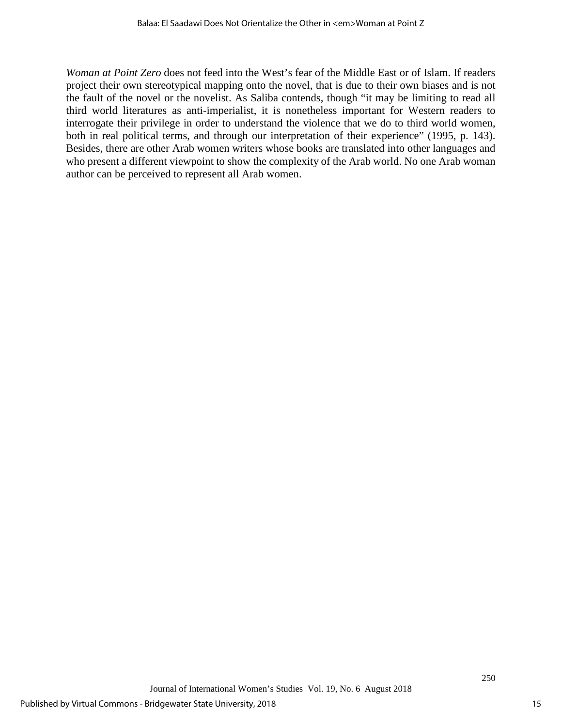*Woman at Point Zero* does not feed into the West's fear of the Middle East or of Islam. If readers project their own stereotypical mapping onto the novel, that is due to their own biases and is not the fault of the novel or the novelist. As Saliba contends, though "it may be limiting to read all third world literatures as anti-imperialist, it is nonetheless important for Western readers to interrogate their privilege in order to understand the violence that we do to third world women, both in real political terms, and through our interpretation of their experience" (1995, p. 143). Besides, there are other Arab women writers whose books are translated into other languages and who present a different viewpoint to show the complexity of the Arab world. No one Arab woman author can be perceived to represent all Arab women.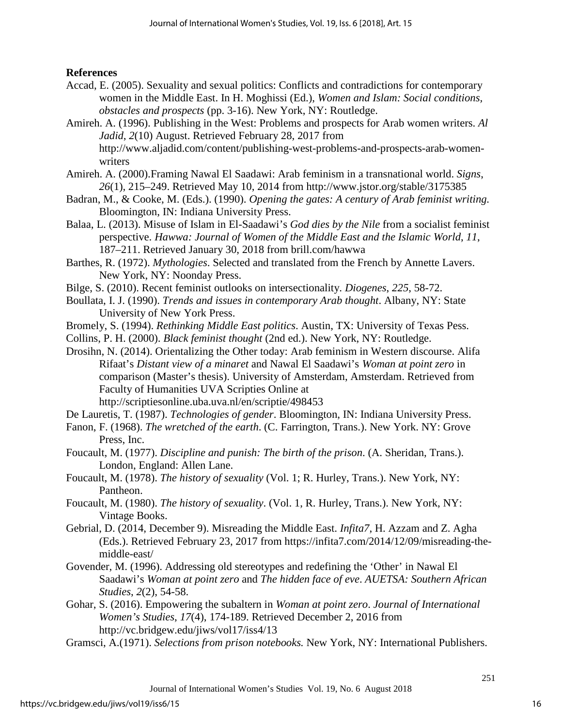## **References**

- Accad, E. (2005). Sexuality and sexual politics: Conflicts and contradictions for contemporary women in the Middle East. In H. Moghissi (Ed.), *Women and Islam: Social conditions, obstacles and prospects* (pp. 3-16). New York, NY: Routledge.
- Amireh. A. (1996). Publishing in the West: Problems and prospects for Arab women writers. *Al Jadid*, *2*(10) August. Retrieved February 28, 2017 from http://www.aljadid.com/content/publishing-west-problems-and-prospects-arab-womenwriters
- Amireh. A. (2000).Framing Nawal El Saadawi: Arab feminism in a transnational world. *Signs*, *26*(1), 215–249. Retrieved May 10, 2014 from http://www.jstor.org/stable/3175385
- Badran, M., & Cooke, M. (Eds.). (1990). *Opening the gates: A century of Arab feminist writing.* Bloomington, IN: Indiana University Press.
- Balaa, L. (2013). Misuse of Islam in El-Saadawi's *God dies by the Nile* from a socialist feminist perspective. *Hawwa: Journal of Women of the Middle East and the Islamic World*, *11*, 187–211. Retrieved January 30, 2018 from brill.com/hawwa
- Barthes, R. (1972). *Mythologies*. Selected and translated from the French by Annette Lavers. New York, NY: Noonday Press.
- Bilge, S. (2010). Recent feminist outlooks on intersectionality. *Diogenes*, *225*, 58-72.
- Boullata, I. J. (1990). *Trends and issues in contemporary Arab thought*. Albany, NY: State University of New York Press.
- Bromely, S. (1994). *Rethinking Middle East politics*. Austin, TX: University of Texas Pess.
- Collins, P. H. (2000). *Black feminist thought* (2nd ed.). New York, NY: Routledge.
- Drosihn, N. (2014). Orientalizing the Other today: Arab feminism in Western discourse. Alifa Rifaat's *Distant view of a minaret* and Nawal El Saadawi's *Woman at point zero* in comparison (Master's thesis). University of Amsterdam, Amsterdam. Retrieved from Faculty of Humanities UVA Scripties Online at http://scriptiesonline.uba.uva.nl/en/scriptie/498453

De Lauretis, T. (1987). *Technologies of gender*. Bloomington, IN: Indiana University Press.

- Fanon, F. (1968). *The wretched of the earth*. (C. Farrington, Trans.). New York. NY: Grove Press, Inc.
- Foucault, M. (1977). *Discipline and punish: The birth of the prison*. (A. Sheridan, Trans.). London, England: Allen Lane.
- Foucault, M. (1978). *The history of sexuality* (Vol. 1; R. Hurley, Trans.). New York, NY: Pantheon.
- Foucault, M. (1980). *The history of sexuality*. (Vol. 1, R. Hurley, Trans.). New York, NY: Vintage Books.
- Gebrial, D. (2014, December 9). Misreading the Middle East. *Infita7*, H. Azzam and Z. Agha (Eds.). Retrieved February 23, 2017 from https://infita7.com/2014/12/09/misreading-themiddle-east/
- Govender, M. (1996). Addressing old stereotypes and redefining the 'Other' in Nawal El Saadawi's *Woman at point zero* and *The hidden face of eve*. *AUETSA: Southern African Studies*, *2*(2), 54-58.
- Gohar, S. (2016). Empowering the subaltern in *Woman at point zero*. *Journal of International Women's Studies*, *17*(4), 174-189. Retrieved December 2, 2016 from http://vc.bridgew.edu/jiws/vol17/iss4/13
- Gramsci, A.(1971). *Selections from prison notebooks.* New York, NY: International Publishers.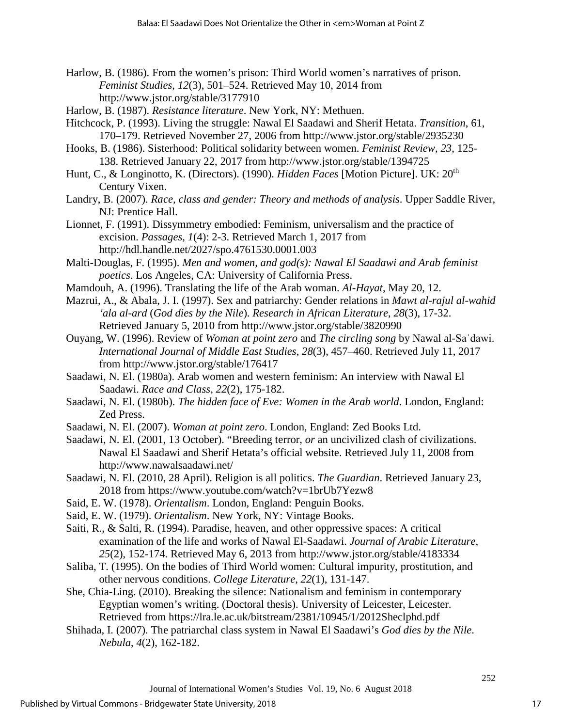- Harlow, B. (1986). From the women's prison: Third World women's narratives of prison. *Feminist Studies*, *12*(3), 501–524. Retrieved May 10, 2014 from http://www.jstor.org/stable/3177910
- Harlow, B. (1987). *Resistance literature*. New York, NY: Methuen.
- Hitchcock, P. (1993). Living the struggle: Nawal El Saadawi and Sherif Hetata. *Transition*, 61, 170–179. Retrieved November 27, 2006 from http://www.jstor.org/stable/2935230
- Hooks, B. (1986). Sisterhood: Political solidarity between women. *Feminist Review*, *23*, 125- 138. Retrieved January 22, 2017 from http://www.jstor.org/stable/1394725
- Hunt, C., & Longinotto, K. (Directors). (1990). *Hidden Faces* [Motion Picture]. UK: 20<sup>th</sup> Century Vixen.
- Landry, B. (2007). *Race, class and gender: Theory and methods of analysis*. Upper Saddle River, NJ: Prentice Hall.
- Lionnet, F. (1991). Dissymmetry embodied: Feminism, universalism and the practice of excision. *Passages*, *1*(4): 2-3. Retrieved March 1, 2017 from http://hdl.handle.net/2027/spo.4761530.0001.003
- Malti-Douglas, F. (1995). *Men and women, and god(s): Nawal El Saadawi and Arab feminist poetics*. Los Angeles, CA: University of California Press.
- Mamdouh, A. (1996). Translating the life of the Arab woman. *Al-Hayat*, May 20, 12.
- Mazrui, A., & Abala, J. I. (1997). Sex and patriarchy: Gender relations in *Mawt al-rajul al-wahid 'ala al-ard* (*God dies by the Nile*). *Research in African Literature*, *28*(3), 17-32. Retrieved January 5, 2010 from http://www.jstor.org/stable/3820990
- Ouyang, W. (1996). Review of *Woman at point zero* and *The circling song* by Nawal al-Saʿdawi. *International Journal of Middle East Studies*, *28*(3), 457–460. Retrieved July 11, 2017 from http://www.jstor.org/stable/176417
- Saadawi, N. El. (1980a). Arab women and western feminism: An interview with Nawal El Saadawi. *Race and Class*, *22*(2), 175-182.
- Saadawi, N. El. (1980b). *The hidden face of Eve: Women in the Arab world*. London, England: Zed Press.
- Saadawi, N. El. (2007). *Woman at point zero*. London, England: Zed Books Ltd.

Saadawi, N. El. (2001, 13 October). "Breeding terror, *or* an uncivilized clash of civilizations. Nawal El Saadawi and Sherif Hetata's official website. Retrieved July 11, 2008 from http://www.nawalsaadawi.net/

- Saadawi, N. El. (2010, 28 April). Religion is all politics. *The Guardian*. Retrieved January 23, 2018 from https://www.youtube.com/watch?v=1brUb7Yezw8
- Said, E. W. (1978). *Orientalism*. London, England: Penguin Books.
- Said, E. W. (1979). *Orientalism*. New York, NY: Vintage Books.
- Saiti, R., & Salti, R. (1994). Paradise, heaven, and other oppressive spaces: A critical examination of the life and works of Nawal El-Saadawi. *Journal of Arabic Literature*, *25*(2), 152-174. Retrieved May 6, 2013 from http://www.jstor.org/stable/4183334
- Saliba, T. (1995). On the bodies of Third World women: Cultural impurity, prostitution, and other nervous conditions. *College Literature*, *22*(1), 131-147.
- She, Chia-Ling. (2010). Breaking the silence: Nationalism and feminism in contemporary Egyptian women's writing. (Doctoral thesis). University of Leicester, Leicester. Retrieved from https://lra.le.ac.uk/bitstream/2381/10945/1/2012Sheclphd.pdf
- Shihada, I. (2007). The patriarchal class system in Nawal El Saadawi's *God dies by the Nile*. *Nebula*, *4*(2), 162-182.